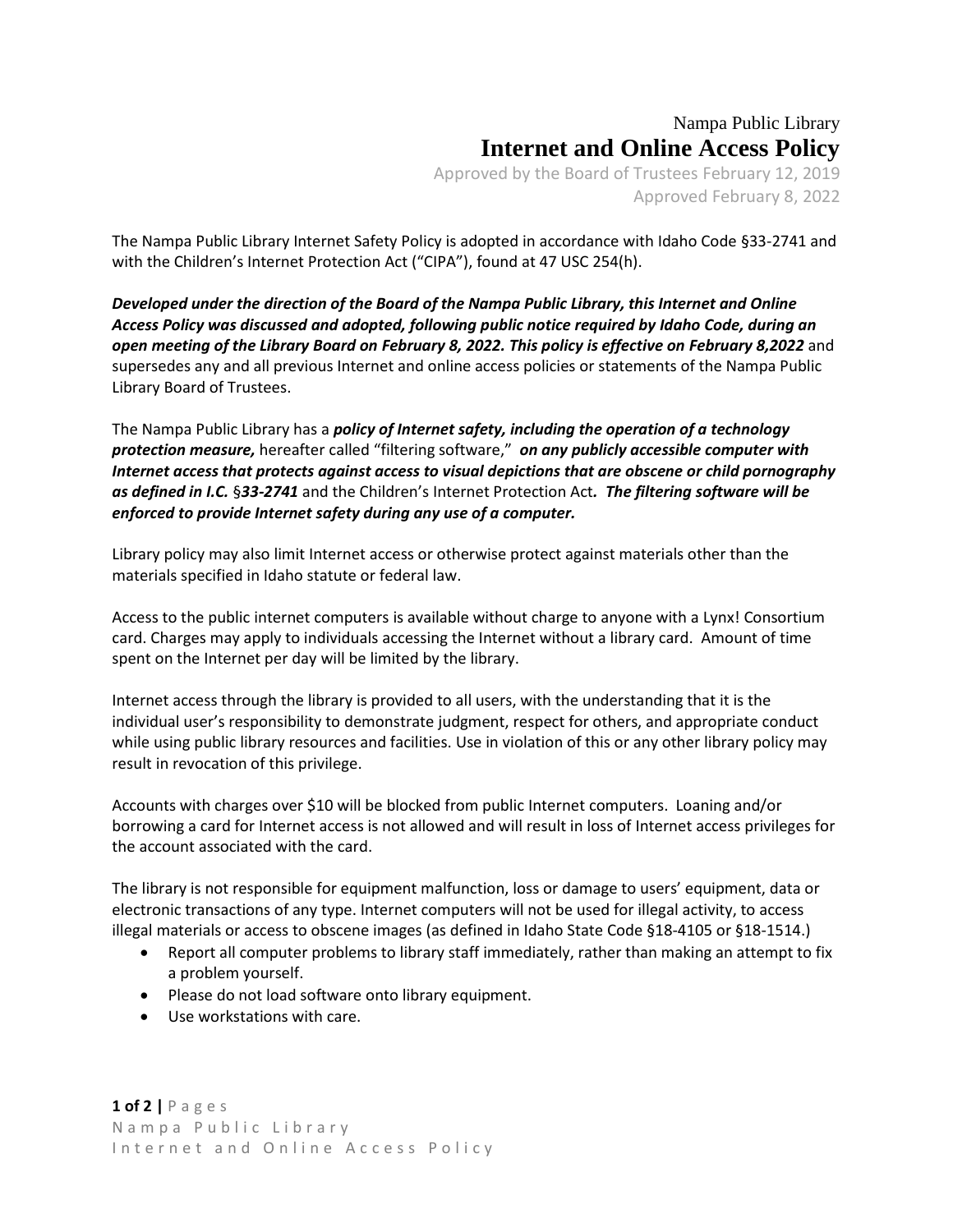## Nampa Public Library **Internet and Online Access Policy**

Approved by the Board of Trustees February 12, 2019 Approved February 8, 2022

The Nampa Public Library Internet Safety Policy is adopted in accordance with Idaho Code §33-2741 and with the Children's Internet Protection Act ("CIPA"), found at 47 USC 254(h).

*Developed under the direction of the Board of the Nampa Public Library, this Internet and Online Access Policy was discussed and adopted, following public notice required by Idaho Code, during an open meeting of the Library Board on February 8, 2022. This policy is effective on February 8,2022* and supersedes any and all previous Internet and online access policies or statements of the Nampa Public Library Board of Trustees.

The Nampa Public Library has a *policy of Internet safety, including the operation of a technology protection measure,* hereafter called "filtering software," *on any publicly accessible computer with Internet access that protects against access to visual depictions that are obscene or child pornography as defined in I.C.* §*33-2741* and the Children's Internet Protection Act*. The filtering software will be enforced to provide Internet safety during any use of a computer.*

Library policy may also limit Internet access or otherwise protect against materials other than the materials specified in Idaho statute or federal law.

Access to the public internet computers is available without charge to anyone with a Lynx! Consortium card. Charges may apply to individuals accessing the Internet without a library card. Amount of time spent on the Internet per day will be limited by the library.

Internet access through the library is provided to all users, with the understanding that it is the individual user's responsibility to demonstrate judgment, respect for others, and appropriate conduct while using public library resources and facilities. Use in violation of this or any other library policy may result in revocation of this privilege.

Accounts with charges over \$10 will be blocked from public Internet computers. Loaning and/or borrowing a card for Internet access is not allowed and will result in loss of Internet access privileges for the account associated with the card.

The library is not responsible for equipment malfunction, loss or damage to users' equipment, data or electronic transactions of any type. Internet computers will not be used for illegal activity, to access illegal materials or access to obscene images (as defined in Idaho State Code §18-4105 or §18-1514.)

- Report all computer problems to library staff immediately, rather than making an attempt to fix a problem yourself.
- Please do not load software onto library equipment.
- Use workstations with care.

**1 of 2 |** P a g e s N a m p a P u b l i c L i b r a r y Internet and Online Access Policy